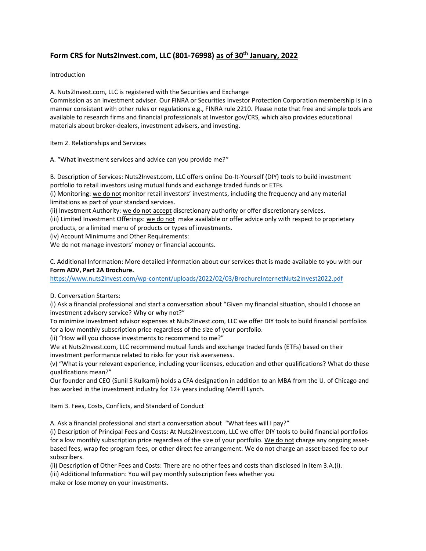## **Form CRS for Nuts2Invest.com, LLC (801-76998) as of 30th January, 2022**

Introduction

A. Nuts2Invest.com, LLC is registered with the Securities and Exchange

Commission as an investment adviser. Our FINRA or Securities Investor Protection Corporation membership is in a manner consistent with other rules or regulations e.g., FINRA rule 2210. Please note that free and simple tools are available to research firms and financial professionals at Investor.gov/CRS, which also provides educational materials about broker-dealers, investment advisers, and investing.

Item 2. Relationships and Services

A. "What investment services and advice can you provide me?"

B. Description of Services: Nuts2Invest.com, LLC offers online Do-It-Yourself (DIY) tools to build investment portfolio to retail investors using mutual funds and exchange traded funds or ETFs.

(i) Monitoring: we do not monitor retail investors' investments, including the frequency and any material limitations as part of your standard services.

(ii) Investment Authority: we do not accept discretionary authority or offer discretionary services.

(iii) Limited Investment Offerings: we do not make available or offer advice only with respect to proprietary products, or a limited menu of products or types of investments.

(iv) Account Minimums and Other Requirements:

We do not manage investors' money or financial accounts.

C. Additional Information: More detailed information about our services that is made available to you with our **Form ADV, Part 2A Brochure.**

<https://www.nuts2invest.com/wp-content/uploads/2022/02/03/BrochureInternetNuts2Invest2022.pdf>

## D. Conversation Starters:

(i) Ask a financial professional and start a conversation about "Given my financial situation, should I choose an investment advisory service? Why or why not?"

To minimize investment advisor expenses at Nuts2Invest.com, LLC we offer DIY tools to build financial portfolios for a low monthly subscription price regardless of the size of your portfolio.

(ii) "How will you choose investments to recommend to me?"

We at Nuts2Invest.com, LLC recommend mutual funds and exchange traded funds (ETFs) based on their investment performance related to risks for your risk averseness.

(v) "What is your relevant experience, including your licenses, education and other qualifications? What do these qualifications mean?"

Our founder and CEO (Sunil S Kulkarni) holds a CFA designation in addition to an MBA from the U. of Chicago and has worked in the investment industry for 12+ years including Merrill Lynch.

Item 3. Fees, Costs, Conflicts, and Standard of Conduct

A. Ask a financial professional and start a conversation about "What fees will I pay?"

(i) Description of Principal Fees and Costs: At Nuts2Invest.com, LLC we offer DIY tools to build financial portfolios for a low monthly subscription price regardless of the size of your portfolio. We do not charge any ongoing assetbased fees, wrap fee program fees, or other direct fee arrangement. We do not charge an asset-based fee to our subscribers.

(ii) Description of Other Fees and Costs: There are no other fees and costs than disclosed in Item 3.A.(i).

(iii) Additional Information: You will pay monthly subscription fees whether you make or lose money on your investments.